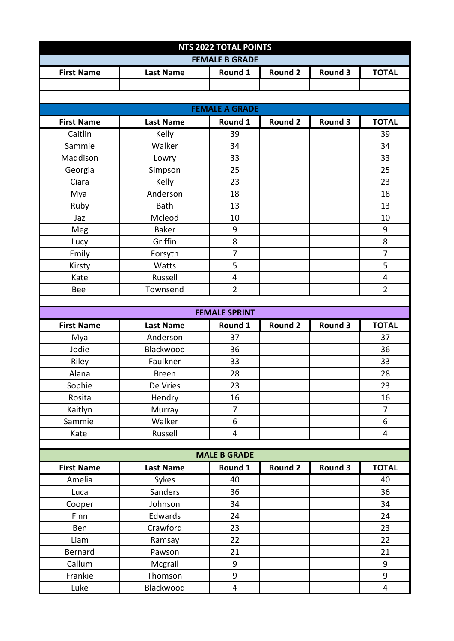| <b>NTS 2022 TOTAL POINTS</b> |                      |                              |                |         |                     |  |  |  |  |  |
|------------------------------|----------------------|------------------------------|----------------|---------|---------------------|--|--|--|--|--|
| <b>FEMALE B GRADE</b>        |                      |                              |                |         |                     |  |  |  |  |  |
| <b>First Name</b>            | <b>Last Name</b>     | Round 1                      | <b>Round 2</b> | Round 3 | <b>TOTAL</b>        |  |  |  |  |  |
|                              |                      |                              |                |         |                     |  |  |  |  |  |
|                              |                      |                              |                |         |                     |  |  |  |  |  |
| <b>FEMALE A GRADE</b>        |                      |                              |                |         |                     |  |  |  |  |  |
| <b>First Name</b>            | <b>Last Name</b>     | Round 1                      | <b>Round 2</b> | Round 3 | <b>TOTAL</b>        |  |  |  |  |  |
| Caitlin                      | Kelly                | 39                           |                |         | 39                  |  |  |  |  |  |
| Sammie                       | Walker               | 34                           |                |         | 34                  |  |  |  |  |  |
| Maddison                     | Lowry                | 33                           |                |         | 33                  |  |  |  |  |  |
| Georgia                      | Simpson              | 25                           |                |         | 25                  |  |  |  |  |  |
| Ciara                        | Kelly                | 23                           |                |         | 23                  |  |  |  |  |  |
| Mya                          | Anderson             | 18                           |                |         | 18                  |  |  |  |  |  |
| Ruby                         | Bath                 | 13                           |                |         | 13                  |  |  |  |  |  |
| Jaz                          | Mcleod               | 10                           |                |         | 10                  |  |  |  |  |  |
| Meg                          | <b>Baker</b>         | 9                            |                |         | 9                   |  |  |  |  |  |
| Lucy                         | Griffin              | 8                            |                |         | 8                   |  |  |  |  |  |
| Emily                        | Forsyth              | $\overline{7}$               |                |         | $\overline{7}$      |  |  |  |  |  |
| Kirsty                       | Watts                | 5                            |                |         | 5                   |  |  |  |  |  |
| Kate                         | Russell              | 4                            |                |         | 4                   |  |  |  |  |  |
| <b>Bee</b>                   | Townsend             | $\overline{2}$               |                |         | $\overline{2}$      |  |  |  |  |  |
|                              |                      |                              |                |         |                     |  |  |  |  |  |
|                              |                      | <b>FEMALE SPRINT</b>         |                |         |                     |  |  |  |  |  |
|                              |                      |                              |                |         |                     |  |  |  |  |  |
| <b>First Name</b>            | <b>Last Name</b>     | Round 1                      | <b>Round 2</b> | Round 3 | <b>TOTAL</b>        |  |  |  |  |  |
| Mya                          | Anderson             | 37                           |                |         | 37                  |  |  |  |  |  |
| Jodie                        | Blackwood            | 36                           |                |         | 36                  |  |  |  |  |  |
| Riley                        | Faulkner             | 33                           |                |         | 33                  |  |  |  |  |  |
| Alana                        | <b>Breen</b>         | 28                           |                |         | 28                  |  |  |  |  |  |
| Sophie                       | De Vries             | 23                           |                |         | 23                  |  |  |  |  |  |
| Rosita                       | Hendry               | 16                           |                |         | 16                  |  |  |  |  |  |
| Kaitlyn                      | Murray               | 7                            |                |         | 7                   |  |  |  |  |  |
| Sammie                       | Walker               | 6                            |                |         | 6                   |  |  |  |  |  |
| Kate                         | Russell              | 4                            |                |         | $\overline{4}$      |  |  |  |  |  |
|                              |                      |                              |                |         |                     |  |  |  |  |  |
|                              |                      | <b>MALE B GRADE</b>          |                |         |                     |  |  |  |  |  |
| <b>First Name</b>            | <b>Last Name</b>     | Round 1                      | <b>Round 2</b> | Round 3 | <b>TOTAL</b>        |  |  |  |  |  |
| Amelia                       | Sykes                | 40                           |                |         | 40                  |  |  |  |  |  |
| Luca                         | Sanders              | 36                           |                |         | 36                  |  |  |  |  |  |
| Cooper                       | Johnson              | 34                           |                |         | 34                  |  |  |  |  |  |
| Finn                         | Edwards              | 24                           |                |         | 24                  |  |  |  |  |  |
| Ben                          | Crawford             | 23                           |                |         | 23                  |  |  |  |  |  |
| Liam                         | Ramsay               | 22                           |                |         | 22                  |  |  |  |  |  |
| Bernard                      | Pawson               | 21                           |                |         | 21                  |  |  |  |  |  |
| Callum                       | Mcgrail              | 9                            |                |         | 9                   |  |  |  |  |  |
| Frankie<br>Luke              | Thomson<br>Blackwood | 9<br>$\overline{\mathbf{4}}$ |                |         | 9<br>$\overline{4}$ |  |  |  |  |  |